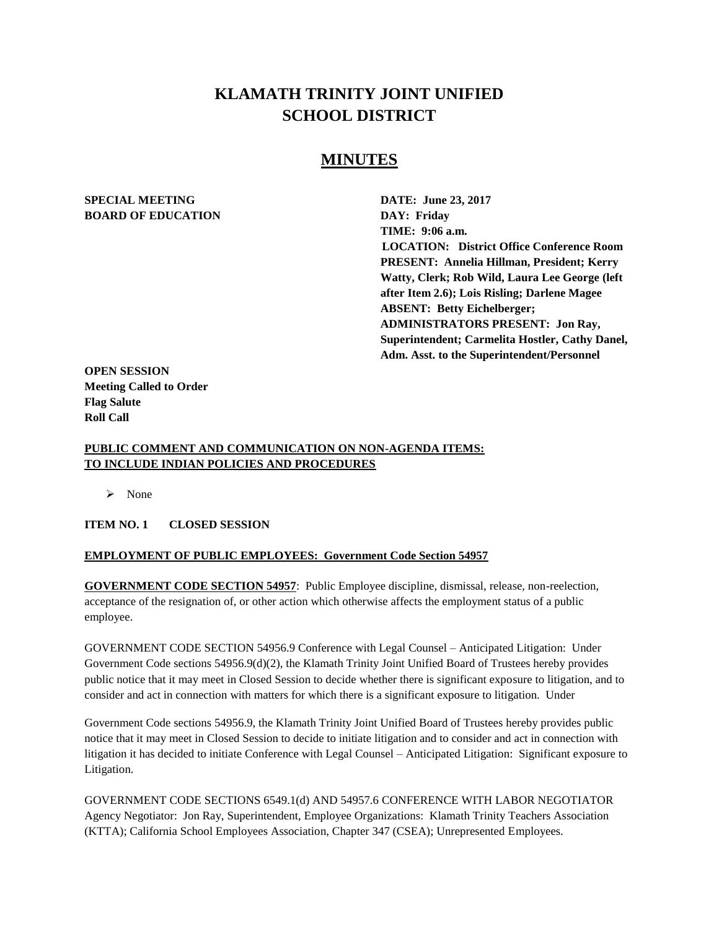# **KLAMATH TRINITY JOINT UNIFIED SCHOOL DISTRICT**

## **MINUTES**

### **SPECIAL MEETING DATE: June 23, 2017 BOARD OF EDUCATION DAY: Friday**

**TIME: 9:06 a.m. LOCATION: District Office Conference Room PRESENT: Annelia Hillman, President; Kerry Watty, Clerk; Rob Wild, Laura Lee George (left after Item 2.6); Lois Risling; Darlene Magee ABSENT: Betty Eichelberger; ADMINISTRATORS PRESENT: Jon Ray, Superintendent; Carmelita Hostler, Cathy Danel, Adm. Asst. to the Superintendent/Personnel** 

**OPEN SESSION Meeting Called to Order Flag Salute Roll Call**

### **PUBLIC COMMENT AND COMMUNICATION ON NON-AGENDA ITEMS: TO INCLUDE INDIAN POLICIES AND PROCEDURES**

> None

### **ITEM NO. 1 CLOSED SESSION**

### **EMPLOYMENT OF PUBLIC EMPLOYEES: Government Code Section 54957**

**GOVERNMENT CODE SECTION 54957**: Public Employee discipline, dismissal, release, non-reelection, acceptance of the resignation of, or other action which otherwise affects the employment status of a public employee.

GOVERNMENT CODE SECTION 54956.9 Conference with Legal Counsel – Anticipated Litigation: Under Government Code sections 54956.9(d)(2), the Klamath Trinity Joint Unified Board of Trustees hereby provides public notice that it may meet in Closed Session to decide whether there is significant exposure to litigation, and to consider and act in connection with matters for which there is a significant exposure to litigation. Under

Government Code sections 54956.9, the Klamath Trinity Joint Unified Board of Trustees hereby provides public notice that it may meet in Closed Session to decide to initiate litigation and to consider and act in connection with litigation it has decided to initiate Conference with Legal Counsel – Anticipated Litigation: Significant exposure to Litigation.

GOVERNMENT CODE SECTIONS 6549.1(d) AND 54957.6 CONFERENCE WITH LABOR NEGOTIATOR Agency Negotiator: Jon Ray, Superintendent, Employee Organizations: Klamath Trinity Teachers Association (KTTA); California School Employees Association, Chapter 347 (CSEA); Unrepresented Employees.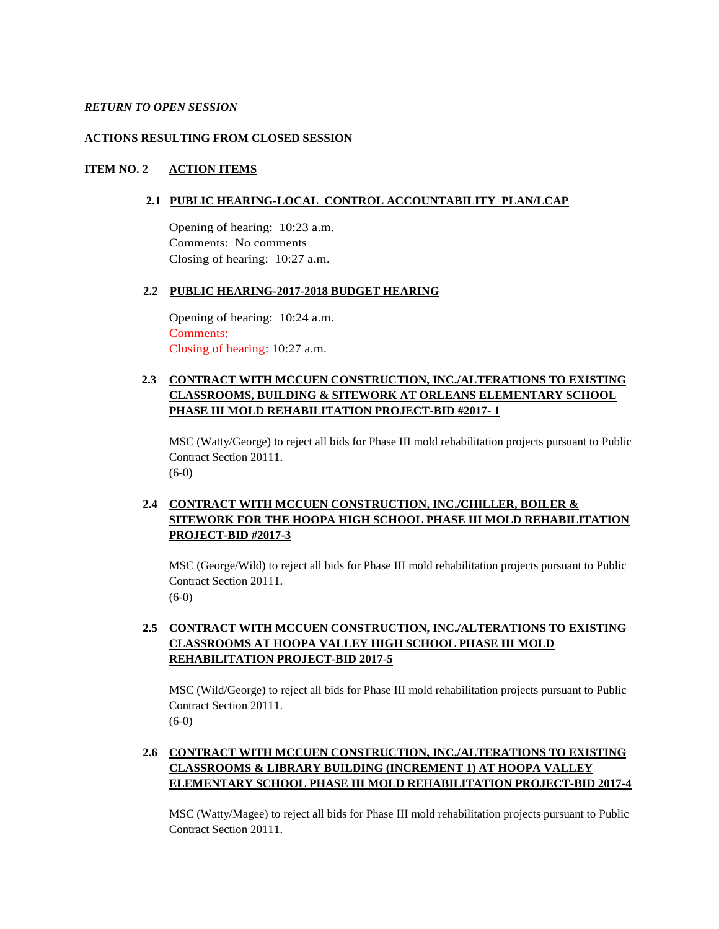#### *RETURN TO OPEN SESSION*

#### **ACTIONS RESULTING FROM CLOSED SESSION**

### **ITEM NO. 2 ACTION ITEMS**

#### **2.1 PUBLIC HEARING-LOCAL CONTROL ACCOUNTABILITY PLAN/LCAP**

Opening of hearing: 10:23 a.m. Comments: No comments Closing of hearing: 10:27 a.m.

#### **2.2 PUBLIC HEARING-2017-2018 BUDGET HEARING**

Opening of hearing: 10:24 a.m. Comments: Closing of hearing: 10:27 a.m.

### **2.3 CONTRACT WITH MCCUEN CONSTRUCTION, INC./ALTERATIONS TO EXISTING CLASSROOMS, BUILDING & SITEWORK AT ORLEANS ELEMENTARY SCHOOL PHASE III MOLD REHABILITATION PROJECT-BID #2017- 1**

MSC (Watty/George) to reject all bids for Phase III mold rehabilitation projects pursuant to Public Contract Section 20111.  $(6-0)$ 

### **2.4 CONTRACT WITH MCCUEN CONSTRUCTION, INC./CHILLER, BOILER & SITEWORK FOR THE HOOPA HIGH SCHOOL PHASE III MOLD REHABILITATION PROJECT-BID #2017-3**

MSC (George/Wild) to reject all bids for Phase III mold rehabilitation projects pursuant to Public Contract Section 20111. (6-0)

### **2.5 CONTRACT WITH MCCUEN CONSTRUCTION, INC./ALTERATIONS TO EXISTING CLASSROOMS AT HOOPA VALLEY HIGH SCHOOL PHASE III MOLD REHABILITATION PROJECT-BID 2017-5**

MSC (Wild/George) to reject all bids for Phase III mold rehabilitation projects pursuant to Public Contract Section 20111. (6-0)

### **2.6 CONTRACT WITH MCCUEN CONSTRUCTION, INC./ALTERATIONS TO EXISTING CLASSROOMS & LIBRARY BUILDING (INCREMENT 1) AT HOOPA VALLEY ELEMENTARY SCHOOL PHASE III MOLD REHABILITATION PROJECT-BID 2017-4**

MSC (Watty/Magee) to reject all bids for Phase III mold rehabilitation projects pursuant to Public Contract Section 20111.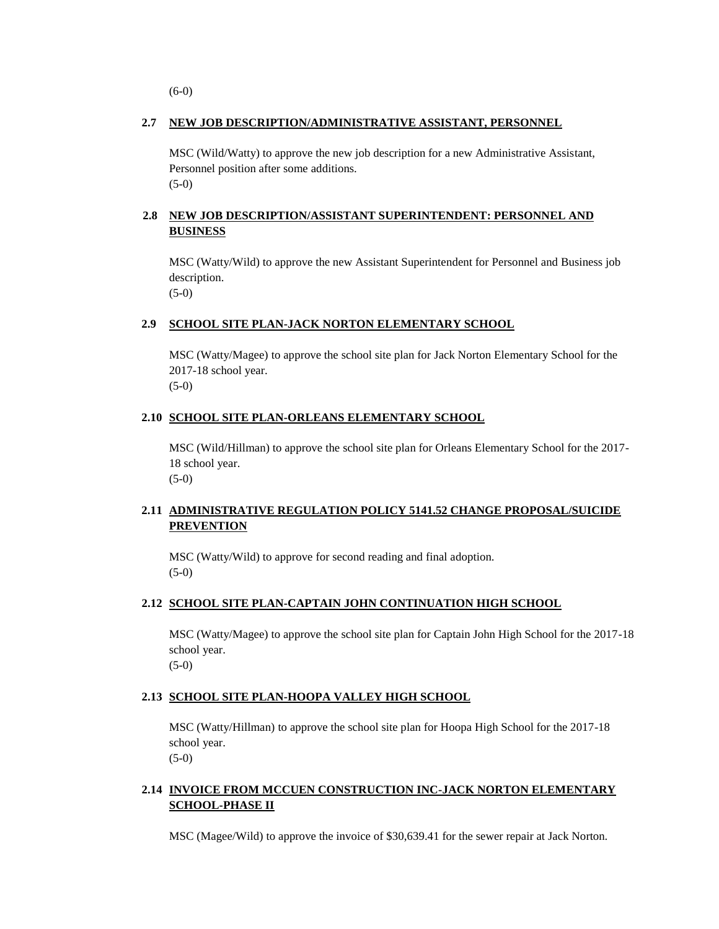(6-0)

### **2.7 NEW JOB DESCRIPTION/ADMINISTRATIVE ASSISTANT, PERSONNEL**

MSC (Wild/Watty) to approve the new job description for a new Administrative Assistant, Personnel position after some additions. (5-0)

### **2.8 NEW JOB DESCRIPTION/ASSISTANT SUPERINTENDENT: PERSONNEL AND BUSINESS**

MSC (Watty/Wild) to approve the new Assistant Superintendent for Personnel and Business job description. (5-0)

### **2.9 SCHOOL SITE PLAN-JACK NORTON ELEMENTARY SCHOOL**

MSC (Watty/Magee) to approve the school site plan for Jack Norton Elementary School for the 2017-18 school year. (5-0)

### **2.10 SCHOOL SITE PLAN-ORLEANS ELEMENTARY SCHOOL**

MSC (Wild/Hillman) to approve the school site plan for Orleans Elementary School for the 2017- 18 school year.

(5-0)

### **2.11 ADMINISTRATIVE REGULATION POLICY 5141.52 CHANGE PROPOSAL/SUICIDE PREVENTION**

MSC (Watty/Wild) to approve for second reading and final adoption. (5-0)

### **2.12 SCHOOL SITE PLAN-CAPTAIN JOHN CONTINUATION HIGH SCHOOL**

MSC (Watty/Magee) to approve the school site plan for Captain John High School for the 2017-18 school year.

(5-0)

### **2.13 SCHOOL SITE PLAN-HOOPA VALLEY HIGH SCHOOL**

MSC (Watty/Hillman) to approve the school site plan for Hoopa High School for the 2017-18 school year.

(5-0)

### **2.14 INVOICE FROM MCCUEN CONSTRUCTION INC-JACK NORTON ELEMENTARY SCHOOL-PHASE II**

MSC (Magee/Wild) to approve the invoice of \$30,639.41 for the sewer repair at Jack Norton.